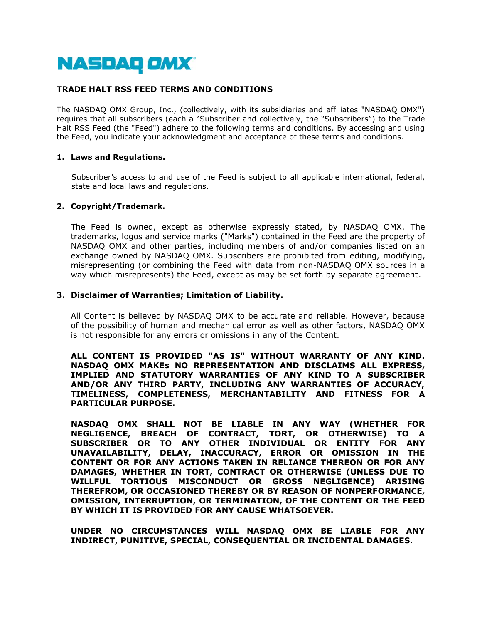

# **TRADE HALT RSS FEED TERMS AND CONDITIONS**

The NASDAQ OMX Group, Inc., (collectively, with its subsidiaries and affiliates "NASDAQ OMX") requires that all subscribers (each a "Subscriber and collectively, the "Subscribers") to the Trade Halt RSS Feed (the "Feed") adhere to the following terms and conditions. By accessing and using the Feed, you indicate your acknowledgment and acceptance of these terms and conditions.

#### **1. Laws and Regulations.**

Subscriber's access to and use of the Feed is subject to all applicable international, federal, state and local laws and regulations.

### **2. Copyright/Trademark.**

The Feed is owned, except as otherwise expressly stated, by NASDAQ OMX. The trademarks, logos and service marks ("Marks") contained in the Feed are the property of NASDAQ OMX and other parties, including members of and/or companies listed on an exchange owned by NASDAQ OMX. Subscribers are prohibited from editing, modifying, misrepresenting (or combining the Feed with data from non-NASDAQ OMX sources in a way which misrepresents) the Feed, except as may be set forth by separate agreement.

### **3. Disclaimer of Warranties; Limitation of Liability.**

All Content is believed by NASDAQ OMX to be accurate and reliable. However, because of the possibility of human and mechanical error as well as other factors, NASDAQ OMX is not responsible for any errors or omissions in any of the Content.

**ALL CONTENT IS PROVIDED "AS IS" WITHOUT WARRANTY OF ANY KIND. NASDAQ OMX MAKEs NO REPRESENTATION AND DISCLAIMS ALL EXPRESS, IMPLIED AND STATUTORY WARRANTIES OF ANY KIND TO A SUBSCRIBER AND/OR ANY THIRD PARTY, INCLUDING ANY WARRANTIES OF ACCURACY, TIMELINESS, COMPLETENESS, MERCHANTABILITY AND FITNESS FOR A PARTICULAR PURPOSE.** 

**NASDAQ OMX SHALL NOT BE LIABLE IN ANY WAY (WHETHER FOR NEGLIGENCE, BREACH OF CONTRACT, TORT, OR OTHERWISE) TO A SUBSCRIBER OR TO ANY OTHER INDIVIDUAL OR ENTITY FOR ANY UNAVAILABILITY, DELAY, INACCURACY, ERROR OR OMISSION IN THE CONTENT OR FOR ANY ACTIONS TAKEN IN RELIANCE THEREON OR FOR ANY DAMAGES, WHETHER IN TORT, CONTRACT OR OTHERWISE (UNLESS DUE TO WILLFUL TORTIOUS MISCONDUCT OR GROSS NEGLIGENCE) ARISING THEREFROM, OR OCCASIONED THEREBY OR BY REASON OF NONPERFORMANCE, OMISSION, INTERRUPTION, OR TERMINATION, OF THE CONTENT OR THE FEED BY WHICH IT IS PROVIDED FOR ANY CAUSE WHATSOEVER.** 

**UNDER NO CIRCUMSTANCES WILL NASDAQ OMX BE LIABLE FOR ANY INDIRECT, PUNITIVE, SPECIAL, CONSEQUENTIAL OR INCIDENTAL DAMAGES.**